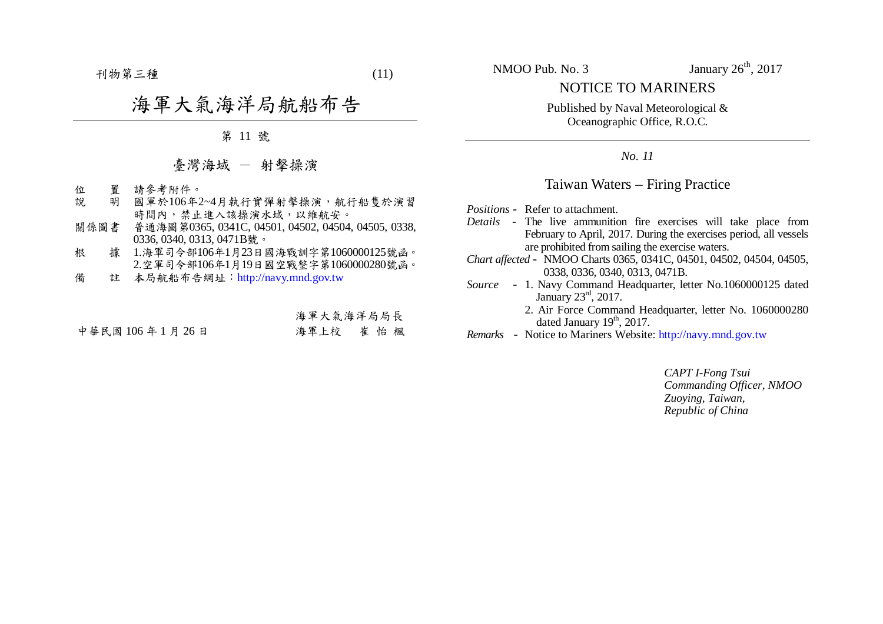$-11$  刊物第三種  $(11)$ 

## 海軍大氣海洋局航船布告

第 11 號

## 臺灣海域 - 射擊操演

- 位 置 請參考附件。<br>說 明 國軍於106年
- 明 國軍於106年2~4月執行實彈射擊操演,航行船隻於演習 時間內,禁止進入該操演水域,以維航安。
- 關係圖書 普通海圖第0365, 0341C, 04501, 04502, 04504, 04505, 0338, 0336, 0340, 0313, 0471B號。
- 根 據 1.海軍司令部106年1月23日國海戰訓字第1060000125號函。 2.空軍司令部106年1月19日國空戰整字第1060000280號函。
- 備 註 本局航船布告網址:http://navy.mnd.gov.tw

## 海軍大氣海洋局局長

中華民國 106 年 1 月 26 日 海軍上校 崔 怡 楓

NOTICE TO MARINERS

Published by Naval Meteorological & Oceanographic Office, R.O.C.

*No. 11*

## Taiwan Waters – Firing Practice

*Positions* - Refer to attachment.

- *Details*  The live ammunition fire exercises will take place from February to April, 2017. During the exercises period, all vessels are prohibited from sailing the exercise waters.
- *Chart affected*  NMOO Charts 0365, 0341C, 04501, 04502, 04504, 04505, 0338, 0336, 0340, 0313, 0471B.
- *Source* 1. Navy Command Headquarter, letter No.1060000125 dated January 23rd, 2017.
	- 2. Air Force Command Headquarter, letter No. 1060000280 dated January  $19<sup>th</sup>$ , 2017.
- *Remarks* Notice to Mariners Website: http://navy.mnd.gov.tw

*CAPT I-Fong Tsui Commanding Officer, NMOO Zuoying, Taiwan, Republic of China*

NMOO Pub. No. 3 January  $26<sup>th</sup>$ ,  $2017$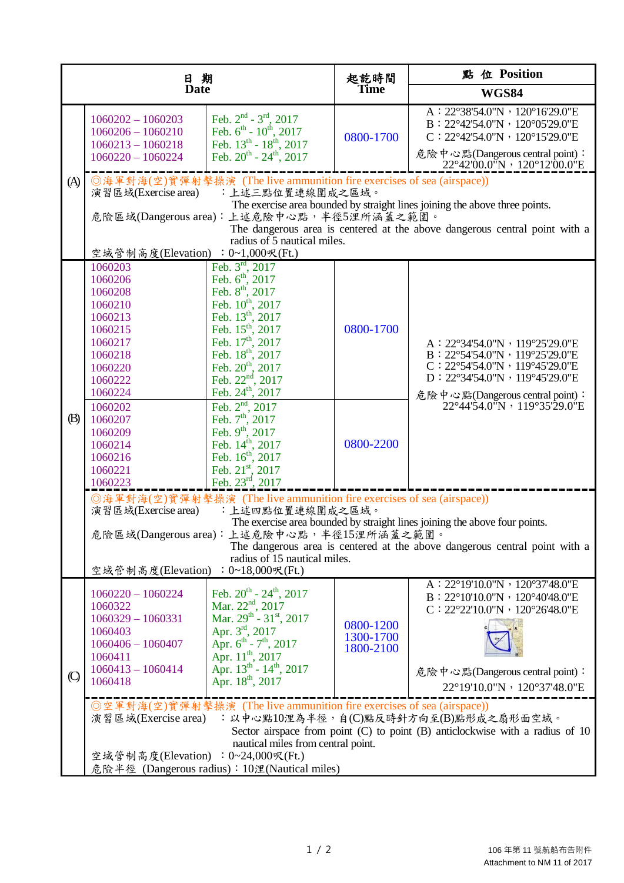| 日期             |                                                                                                                                                                                                                                                                                                                                                                                                |                                                                                                                                                                                                                                                                                                                                                                                                                                                                                                                                      | 起訖時間<br>Time                        | 點 位 Position                                                                                                                                                                                                                                                                                                                                            |  |  |
|----------------|------------------------------------------------------------------------------------------------------------------------------------------------------------------------------------------------------------------------------------------------------------------------------------------------------------------------------------------------------------------------------------------------|--------------------------------------------------------------------------------------------------------------------------------------------------------------------------------------------------------------------------------------------------------------------------------------------------------------------------------------------------------------------------------------------------------------------------------------------------------------------------------------------------------------------------------------|-------------------------------------|---------------------------------------------------------------------------------------------------------------------------------------------------------------------------------------------------------------------------------------------------------------------------------------------------------------------------------------------------------|--|--|
| <b>Date</b>    |                                                                                                                                                                                                                                                                                                                                                                                                | <b>WGS84</b>                                                                                                                                                                                                                                                                                                                                                                                                                                                                                                                         |                                     |                                                                                                                                                                                                                                                                                                                                                         |  |  |
|                | $1060202 - 1060203$<br>$1060206 - 1060210$<br>$1060213 - 1060218$<br>$1060220 - 1060224$                                                                                                                                                                                                                                                                                                       | Feb. $2^{nd}$ - $3^{rd}$ , 2017<br>Feb. $6^{\text{th}}$ - $10^{\text{th}}$ , 2017<br>Feb. $13^{th}$ - $18^{th}$ , 2017<br>Feb. $20^{th}$ - $24^{th}$ , $2017$                                                                                                                                                                                                                                                                                                                                                                        | 0800-1700                           | A: 22°38'54.0"N, 120°16'29.0"E<br>B: 22°42'54.0"N, 120°05'29.0"E<br>$C: 22^{\circ}42'54.0''N \cdot 120^{\circ}15'29.0''E$<br>危險中心點(Dangerous central point):<br>$22^{\circ}42'00.0''N$ , $120^{\circ}12'00.0''E$                                                                                                                                        |  |  |
| (A)            | ◎海軍對海(空)實彈射擊操演 (The live ammunition fire exercises of sea (airspace))<br>:上述三點位置連線圍成之區域。<br>演習區域(Exercise area)<br>The exercise area bounded by straight lines joining the above three points.<br>危險區域(Dangerous area): 上述危險中心點, 半徑5浬所涵蓋之範圍。<br>The dangerous area is centered at the above dangerous central point with a<br>radius of 5 nautical miles.<br>空域管制高度(Elevation) : 0~1,000呎(Ft.) |                                                                                                                                                                                                                                                                                                                                                                                                                                                                                                                                      |                                     |                                                                                                                                                                                                                                                                                                                                                         |  |  |
| (B)            | 1060203<br>1060206<br>1060208<br>1060210<br>1060213<br>1060215<br>1060217<br>1060218<br>1060220<br>1060222<br>1060224<br>1060202<br>1060207<br>1060209<br>1060214<br>1060216<br>1060221<br>1060223                                                                                                                                                                                             | Feb. $3^{\text{rd}}$ , 2017<br>Feb. 6 <sup>th</sup> , 2017<br>Feb. 8 <sup>th</sup> , 2017<br>Feb. 10 <sup>th</sup> , 2017<br>Feb. 13th, 2017<br>Feb. 15 <sup>th</sup> , 2017<br>Feb. 17th, 2017<br>Feb. 18th, 2017<br>Feb. 20 <sup>th</sup> , 2017<br>Feb. 22 <sup>nd</sup> , 2017<br>Feb. 24th, 2017<br>Feb. $2^{4}$ , $2017$<br>Feb. $2^{nd}$ , $2017$<br>Feb. $7^{th}$ , $2017$<br>Feb. $9^{th}$ , $2017$<br>Feb. $14^{th}$ , $2017$<br>Feb. $16^{th}$ , $2017$<br>Feb. $21^{st}$ , $2017$<br>Feb. $23^{rd}$ , $2017$ .           | 0800-1700<br>0800-2200              | A: 22°34'54.0"N, 119°25'29.0"E<br>B: 22°54'54.0"N, 119°25'29.0"E<br>$C: 22^{\circ}54'54.0''N \cdot 119^{\circ}45'29.0''E$<br>D: 22°34'54.0"N, 119°45'29.0"E<br>危險中心點(Dangerous central point):<br>22°44'54.0"N, 119°35'29.0"E                                                                                                                           |  |  |
| $\circledcirc$ | 演習區域(Exercise area)<br>空域管制高度(Elevation)<br>$1060220 - 1060224$<br>1060322<br>$1060329 - 1060331$<br>1060403<br>$1060406 - 1060407$<br>1060411<br>$1060413 - 1060414$<br>1060418                                                                                                                                                                                                               | ◎海軍對海(空)實彈射擊操演 (The live ammunition fire exercises of sea (airspace))<br>:上述四點位置連線圍成之區域。<br>危險區域(Dangerous area): 上述危險中心點, 半徑15浬所涵蓋之範圍。<br>radius of 15 nautical miles.<br>: $0~18,000~$ 天(Ft.)<br>Feb. $20^{th}$ - $24^{th}$ , $2017$<br>Mar. $22nd$ , 2017<br>Mar. $29^{th}$ - $31^{st}$ , 2017<br>Apr. 3rd, 2017<br>Apr. $6^{th}$ - $7^{th}$ , 2017<br>Apr. 11 <sup>th</sup> , 2017<br>Apr. $13^{th}$ - $14^{th}$ , 2017<br>Apr. 18 <sup>th</sup> , 2017<br>◎空軍對海(空)實彈射擊操演 (The live ammunition fire exercises of sea (airspace)) | 0800-1200<br>1300-1700<br>1800-2100 | The exercise area bounded by straight lines joining the above four points.<br>The dangerous area is centered at the above dangerous central point with a<br>A: 22°19'10.0"N, 120°37'48.0"E<br>B: 22°10'10.0"N, 120°40'48.0"E<br>$C: 22^{\circ}22'10.0''N \cdot 120^{\circ}26'48.0''E$<br>危險中心點(Dangerous central point):<br>22°19'10.0"N, 120°37'48.0"E |  |  |
|                | : 以中心點10浬為半徑, 自(C)點反時針方向至(B)點形成之扇形面空域。<br>演習區域(Exercise area)<br>Sector airspace from point (C) to point (B) anticlockwise with a radius of 10<br>nautical miles from central point.<br>空域管制高度(Elevation): 0~24,000呎(Ft.)<br>危險半徑 (Dangerous radius): 10浬(Nautical miles)                                                                                                                      |                                                                                                                                                                                                                                                                                                                                                                                                                                                                                                                                      |                                     |                                                                                                                                                                                                                                                                                                                                                         |  |  |